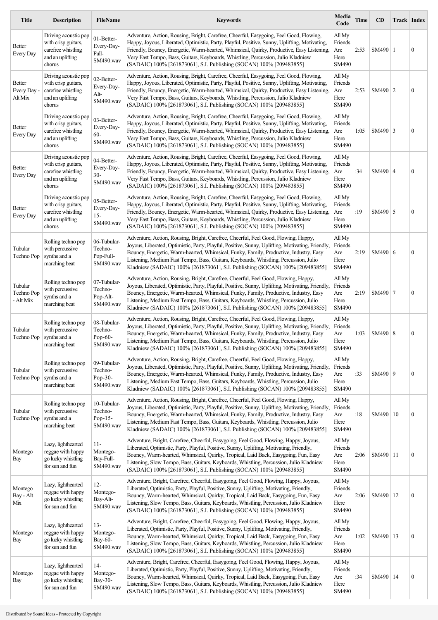| <b>Title</b>                       | <b>Description</b>                                                                              | <b>FileName</b>                                  | <b>Keywords</b>                                                                                                                                                                                                                                                                                                                                                                                                                                         | Media<br>Code                             | <b>Time</b> | <b>CD</b>  | Track Index |                  |
|------------------------------------|-------------------------------------------------------------------------------------------------|--------------------------------------------------|---------------------------------------------------------------------------------------------------------------------------------------------------------------------------------------------------------------------------------------------------------------------------------------------------------------------------------------------------------------------------------------------------------------------------------------------------------|-------------------------------------------|-------------|------------|-------------|------------------|
| Better<br>Every Day                | Driving acoustic pop<br>with crisp guitars,<br>carefree whistling<br>and an uplifting<br>chorus | 01-Better-<br>Every-Day-<br>Full-<br>SM490.wav   | Adventure, Action, Rousing, Bright, Carefree, Cheerful, Easygoing, Feel Good, Flowing,<br>Happy, Joyous, Liberated, Optimistic, Party, Playful, Positive, Sunny, Uplifting, Motivating,<br>Friendly, Bouncy, Energetic, Warm-hearted, Whimsical, Quirky, Productive, Easy Listening,<br>Very Fast Tempo, Bass, Guitars, Keyboards, Whistling, Percussion, Julio Kladniew<br>(SADAIC) 100% [261873061], S.I. Publishing (SOCAN) 100% [209483855]         | All My<br>Friends<br>Are<br>Here<br>SM490 | 2:53        | SM490   1  |             | $\boldsymbol{0}$ |
| Better<br>Every Day -<br>Alt Mix   | Driving acoustic pop<br>with crisp guitars,<br>carefree whistling<br>and an uplifting<br>chorus | 02-Better-<br>Every-Day-<br>Alt-<br>SM490.wav    | Adventure, Action, Rousing, Bright, Carefree, Cheerful, Easygoing, Feel Good, Flowing,<br>Happy, Joyous, Liberated, Optimistic, Party, Playful, Positive, Sunny, Uplifting, Motivating,<br>Friendly, Bouncy, Energetic, Warm-hearted, Whimsical, Quirky, Productive, Easy Listening,<br>Very Fast Tempo, Bass, Guitars, Keyboards, Whistling, Percussion, Julio Kladniew<br>(SADAIC) 100% [261873061], S.I. Publishing (SOCAN) 100% [209483855]         | All My<br>Friends<br>Are<br>Here<br>SM490 | 2:53        | SM490 2    |             | $\boldsymbol{0}$ |
| Better<br>Every Day                | Driving acoustic pop<br>with crisp guitars,<br>carefree whistling<br>and an uplifting<br>chorus | 03-Better-<br>Every-Day-<br>$60 -$<br>SM490.wav  | Adventure, Action, Rousing, Bright, Carefree, Cheerful, Easygoing, Feel Good, Flowing,<br>Happy, Joyous, Liberated, Optimistic, Party, Playful, Positive, Sunny, Uplifting, Motivating,<br>Friendly, Bouncy, Energetic, Warm-hearted, Whimsical, Quirky, Productive, Easy Listening,<br>Very Fast Tempo, Bass, Guitars, Keyboards, Whistling, Percussion, Julio Kladniew<br>(SADAIC) 100% [261873061], S.I. Publishing (SOCAN) 100% [209483855]         | All My<br>Friends<br>Are<br>Here<br>SM490 | 1:05        | $SM490$ 3  |             | $\boldsymbol{0}$ |
| Better<br><b>Every Day</b>         | Driving acoustic pop<br>with crisp guitars,<br>carefree whistling<br>and an uplifting<br>chorus | 04-Better-<br>Every-Day-<br>$30-$<br>SM490.wav   | Adventure, Action, Rousing, Bright, Carefree, Cheerful, Easygoing, Feel Good, Flowing,<br>Happy, Joyous, Liberated, Optimistic, Party, Playful, Positive, Sunny, Uplifting, Motivating,<br>Friendly, Bouncy, Energetic, Warm-hearted, Whimsical, Quirky, Productive, Easy Listening,<br>Very Fast Tempo, Bass, Guitars, Keyboards, Whistling, Percussion, Julio Kladniew<br>(SADAIC) 100% [261873061], S.I. Publishing (SOCAN) 100% [209483855]         | All My<br>Friends<br>Are<br>Here<br>SM490 | :34         | SM490   4  |             | $\boldsymbol{0}$ |
| Better<br>Every Day                | Driving acoustic pop<br>with crisp guitars,<br>carefree whistling<br>and an uplifting<br>chorus | 05-Better-<br>Every-Day-<br>$15 -$<br>SM490.wav  | Adventure, Action, Rousing, Bright, Carefree, Cheerful, Easygoing, Feel Good, Flowing,<br>Happy, Joyous, Liberated, Optimistic, Party, Playful, Positive, Sunny, Uplifting, Motivating,<br>Friendly, Bouncy, Energetic, Warm-hearted, Whimsical, Quirky, Productive, Easy Listening,<br>Very Fast Tempo, Bass, Guitars, Keyboards, Whistling, Percussion, Julio Kladniew<br>(SADAIC) 100% [261873061], S.I. Publishing (SOCAN) 100% [209483855]         | All My<br>Friends<br>Are<br>Here<br>SM490 | :19         | SM490 5    |             | $\boldsymbol{0}$ |
| Tubular<br>Techno Pop              | Rolling techno pop<br>with percussive<br>synths and a<br>marching beat                          | 06-Tubular-<br>Techno-<br>Pop-Full-<br>SM490.wav | Adventure, Action, Rousing, Bright, Carefree, Cheerful, Feel Good, Flowing, Happy,<br>Joyous, Liberated, Optimistic, Party, Playful, Positive, Sunny, Uplifting, Motivating, Friendly,<br>Bouncy, Energetic, Warm-hearted, Whimsical, Funky, Family, Productive, Industry, Easy<br>Listening, Medium Fast Tempo, Bass, Guitars, Keyboards, Whistling, Percussion, Julio<br>Kladniew (SADAIC) 100% [261873061], S.I. Publishing (SOCAN) 100% [209483855] | All My<br>Friends<br>Are<br>Here<br>SM490 | 2:19        | SM490 6    |             | $\boldsymbol{0}$ |
| Tubular<br>Techno Pop<br>- Alt Mix | Rolling techno pop<br>with percussive<br>synths and a<br>marching beat                          | 07-Tubular-<br>Techno-<br>Pop-Alt-<br>SM490.wav  | Adventure, Action, Rousing, Bright, Carefree, Cheerful, Feel Good, Flowing, Happy,<br>Joyous, Liberated, Optimistic, Party, Playful, Positive, Sunny, Uplifting, Motivating, Friendly,<br>Bouncy, Energetic, Warm-hearted, Whimsical, Funky, Family, Productive, Industry, Easy<br>Listening, Medium Fast Tempo, Bass, Guitars, Keyboards, Whistling, Percussion, Julio<br>Kladniew (SADAIC) 100% [261873061], S.I. Publishing (SOCAN) 100% [209483855] | All My<br>Friends<br>Are<br>Here<br>SM490 | 2:19        | SM490   7  |             | $\boldsymbol{0}$ |
| Tubular<br>Techno Pop              | Rolling techno pop<br>with percussive<br>synths and a<br>marching beat                          | 08-Tubular-<br>Techno-<br>Pop-60-<br>SM490.way   | Adventure, Action, Rousing, Bright, Carefree, Cheerful, Feel Good, Flowing, Happy,<br>Joyous, Liberated, Optimistic, Party, Playful, Positive, Sunny, Uplifting, Motivating, Friendly,<br>Bouncy, Energetic, Warm-hearted, Whimsical, Funky, Family, Productive, Industry, Easy<br>Listening, Medium Fast Tempo, Bass, Guitars, Keyboards, Whistling, Percussion, Julio<br>Kladniew (SADAIC) 100% [261873061], S.I. Publishing (SOCAN) 100% [209483855] | All My<br>Friends<br>Are<br>Here<br>SM490 | 1:03        | SM490   8  |             | $\boldsymbol{0}$ |
| Tubular<br>Techno Pop              | Rolling techno pop<br>with percussive<br>synths and a<br>marching beat                          | 09-Tubular-<br>Techno-<br>Pop-30-<br>SM490.wav   | Adventure, Action, Rousing, Bright, Carefree, Cheerful, Feel Good, Flowing, Happy,<br>Joyous, Liberated, Optimistic, Party, Playful, Positive, Sunny, Uplifting, Motivating, Friendly,<br>Bouncy, Energetic, Warm-hearted, Whimsical, Funky, Family, Productive, Industry, Easy<br>Listening, Medium Fast Tempo, Bass, Guitars, Keyboards, Whistling, Percussion, Julio<br>Kladniew (SADAIC) 100% [261873061], S.I. Publishing (SOCAN) 100% [209483855] | All My<br>Friends<br>Are<br>Here<br>SM490 | :33         | SM490 9    |             | $\boldsymbol{0}$ |
| Tubular<br>Techno Pop              | Rolling techno pop<br>with percussive<br>synths and a<br>marching beat                          | 10-Tubular-<br>Techno-<br>Pop-15-<br>SM490.wav   | Adventure, Action, Rousing, Bright, Carefree, Cheerful, Feel Good, Flowing, Happy,<br>Joyous, Liberated, Optimistic, Party, Playful, Positive, Sunny, Uplifting, Motivating, Friendly,<br>Bouncy, Energetic, Warm-hearted, Whimsical, Funky, Family, Productive, Industry, Easy<br>Listening, Medium Fast Tempo, Bass, Guitars, Keyboards, Whistling, Percussion, Julio<br>Kladniew (SADAIC) 100% [261873061], S.I. Publishing (SOCAN) 100% [209483855] | All My<br>Friends<br>Are<br>Here<br>SM490 | :18         | SM490   10 |             | $\boldsymbol{0}$ |
| Montego<br>Bay                     | Lazy, lighthearted<br>reggae with happy<br>go lucky whistling<br>for sun and fun                | $11-$<br>Montego-<br>Bay-Full-<br>SM490.wav      | Adventure, Bright, Carefree, Cheerful, Easygoing, Feel Good, Flowing, Happy, Joyous,<br>Liberated, Optimistic, Party, Playful, Positive, Sunny, Uplifting, Motivating, Friendly,<br>Bouncy, Warm-hearted, Whimsical, Quirky, Tropical, Laid Back, Easygoing, Fun, Easy<br>Listening, Slow Tempo, Bass, Guitars, Keyboards, Whistling, Percussion, Julio Kladniew<br>(SADAIC) 100% [261873061], S.I. Publishing (SOCAN) 100% [209483855]                 | All My<br>Friends<br>Are<br>Here<br>SM490 | 2:06        | SM490   11 |             | $\boldsymbol{0}$ |
| Montego<br>Bay - Alt<br>Mix        | Lazy, lighthearted<br>reggae with happy<br>go lucky whistling<br>for sun and fun                | $12 -$<br>Montego-<br>Bay-Alt-<br>SM490.wav      | Adventure, Bright, Carefree, Cheerful, Easygoing, Feel Good, Flowing, Happy, Joyous,<br>Liberated, Optimistic, Party, Playful, Positive, Sunny, Uplifting, Motivating, Friendly,<br>Bouncy, Warm-hearted, Whimsical, Quirky, Tropical, Laid Back, Easygoing, Fun, Easy<br>Listening, Slow Tempo, Bass, Guitars, Keyboards, Whistling, Percussion, Julio Kladniew<br>(SADAIC) 100% [261873061], S.I. Publishing (SOCAN) 100% [209483855]                 | All My<br>Friends<br>Are<br>Here<br>SM490 | 2:06        | SM490   12 |             | $\boldsymbol{0}$ |
| Montego<br>Bay                     | Lazy, lighthearted<br>reggae with happy<br>go lucky whistling<br>for sun and fun                | $13-$<br>Montego-<br>Bay-60-<br>SM490.wav        | Adventure, Bright, Carefree, Cheerful, Easygoing, Feel Good, Flowing, Happy, Joyous,<br>Liberated, Optimistic, Party, Playful, Positive, Sunny, Uplifting, Motivating, Friendly,<br>Bouncy, Warm-hearted, Whimsical, Quirky, Tropical, Laid Back, Easygoing, Fun, Easy<br>Listening, Slow Tempo, Bass, Guitars, Keyboards, Whistling, Percussion, Julio Kladniew<br>(SADAIC) 100% [261873061], S.I. Publishing (SOCAN) 100% [209483855]                 | All My<br>Friends<br>Are<br>Here<br>SM490 | 1:02        | SM490   13 |             | $\boldsymbol{0}$ |
| Montego<br>Bay                     | Lazy, lighthearted<br>reggae with happy<br>go lucky whistling<br>for sun and fun                | 14-<br>Montego-<br>Bay-30-<br>SM490.wav          | Adventure, Bright, Carefree, Cheerful, Easygoing, Feel Good, Flowing, Happy, Joyous,<br>Liberated, Optimistic, Party, Playful, Positive, Sunny, Uplifting, Motivating, Friendly,<br>Bouncy, Warm-hearted, Whimsical, Quirky, Tropical, Laid Back, Easygoing, Fun, Easy<br>Listening, Slow Tempo, Bass, Guitars, Keyboards, Whistling, Percussion, Julio Kladniew<br>(SADAIC) 100% [261873061], S.I. Publishing (SOCAN) 100% [209483855]                 | All My<br>Friends<br>Are<br>Here<br>SM490 | :34         | SM490   14 |             | $\boldsymbol{0}$ |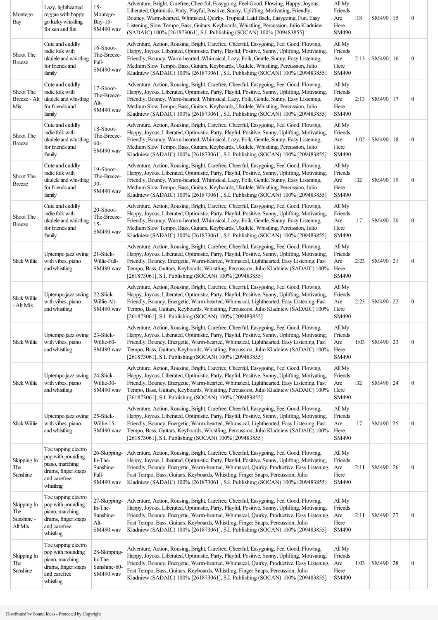| Montego<br>Bay                              | Lazy, lighthearted<br>reggae with happy<br>go lucky whistling<br>for sun and fun                                | $15 -$<br>Montego-<br>Bay-15-<br>SM490.wav                 | Adventure, Bright, Carefree, Cheerful, Easygoing, Feel Good, Flowing, Happy, Joyous,<br>Liberated, Optimistic, Party, Playful, Positive, Sunny, Uplifting, Motivating, Friendly,<br>Bouncy, Warm-hearted, Whimsical, Quirky, Tropical, Laid Back, Easygoing, Fun, Easy<br>Listening, Slow Tempo, Bass, Guitars, Keyboards, Whistling, Percussion, Julio Kladniew<br>(SADAIC) 100% [261873061], S.I. Publishing (SOCAN) 100% [209483855]                  | All My<br>Friends<br>Are<br>Here<br>SM490 | :18  | SM490   15 | $\boldsymbol{0}$ |
|---------------------------------------------|-----------------------------------------------------------------------------------------------------------------|------------------------------------------------------------|----------------------------------------------------------------------------------------------------------------------------------------------------------------------------------------------------------------------------------------------------------------------------------------------------------------------------------------------------------------------------------------------------------------------------------------------------------|-------------------------------------------|------|------------|------------------|
| Shoot The<br><b>Breeze</b>                  | Cute and cuddly<br>indie folk with<br>ukulele and whistling<br>for friends and<br>family                        | 16-Shoot-<br>The-Breeze-<br>Full-<br>SM490.wav             | Adventure, Action, Rousing, Bright, Carefree, Cheerful, Easygoing, Feel Good, Flowing,<br>Happy, Joyous, Liberated, Optimistic, Party, Playful, Positive, Sunny, Uplifting, Motivating,<br>Friendly, Bouncy, Warm-hearted, Whimsical, Lazy, Folk, Gentle, Sunny, Easy Listening,<br>Medium Slow Tempo, Bass, Guitars, Keyboards, Ukulele, Whistling, Percussion, Julio<br>Kladniew (SADAIC) 100% [261873061], S.I. Publishing (SOCAN) 100% [209483855]   | All My<br>Friends<br>Are<br>Here<br>SM490 | 2:13 | SM490   16 | $\boldsymbol{0}$ |
| Shoot The<br>Breeze - Alt<br>Mix            | Cute and cuddly<br>indie folk with<br>ukulele and whistling<br>for friends and<br>family                        | 17-Shoot-<br>The-Breeze-<br>Alt-<br>SM490.wav              | Adventure, Action, Rousing, Bright, Carefree, Cheerful, Easygoing, Feel Good, Flowing,<br>Happy, Joyous, Liberated, Optimistic, Party, Playful, Positive, Sunny, Uplifting, Motivating,<br>Friendly, Bouncy, Warm-hearted, Whimsical, Lazy, Folk, Gentle, Sunny, Easy Listening,<br>Medium Slow Tempo, Bass, Guitars, Keyboards, Ukulele, Whistling, Percussion, Julio<br>Kladniew (SADAIC) 100% [261873061], S.I. Publishing (SOCAN) 100% [209483855]   | All My<br>Friends<br>Are<br>Here<br>SM490 | 2:13 | SM490   17 | $\boldsymbol{0}$ |
| Shoot The<br><b>Breeze</b>                  | Cute and cuddly<br>indie folk with<br>ukulele and whistling<br>for friends and<br>family                        | 18-Shoot-<br>The-Breeze-<br>$60 -$<br>SM490.wav            | Adventure, Action, Rousing, Bright, Carefree, Cheerful, Easygoing, Feel Good, Flowing,<br>Happy, Joyous, Liberated, Optimistic, Party, Playful, Positive, Sunny, Uplifting, Motivating,<br>Friendly, Bouncy, Warm-hearted, Whimsical, Lazy, Folk, Gentle, Sunny, Easy Listening,<br>Medium Slow Tempo, Bass, Guitars, Keyboards, Ukulele, Whistling, Percussion, Julio<br>Kladniew (SADAIC) 100% [261873061], S.I. Publishing (SOCAN) 100% [209483855]   | All My<br>Friends<br>Are<br>Here<br>SM490 | 1:02 | SM490   18 | $\boldsymbol{0}$ |
| Shoot The<br><b>Breeze</b>                  | Cute and cuddly<br>indie folk with<br>ukulele and whistling<br>for friends and<br>family                        | 19-Shoot-<br>The-Breeze-<br>$30 -$<br>SM490.wav            | Adventure, Action, Rousing, Bright, Carefree, Cheerful, Easygoing, Feel Good, Flowing,<br>Happy, Joyous, Liberated, Optimistic, Party, Playful, Positive, Sunny, Uplifting, Motivating,<br>Friendly, Bouncy, Warm-hearted, Whimsical, Lazy, Folk, Gentle, Sunny, Easy Listening,<br>Medium Slow Tempo, Bass, Guitars, Keyboards, Ukulele, Whistling, Percussion, Julio<br>Kladniew (SADAIC) 100% [261873061], S.I. Publishing (SOCAN) 100% [209483855]   | All My<br>Friends<br>Are<br>Here<br>SM490 | :32  | SM490   19 | $\boldsymbol{0}$ |
| Shoot The<br><b>Breeze</b>                  | Cute and cuddly<br>indie folk with<br>ukulele and whistling<br>for friends and<br>family                        | 20-Shoot-<br>The-Breeze-<br>$15-$<br>SM490.wav             | Adventure, Action, Rousing, Bright, Carefree, Cheerful, Easygoing, Feel Good, Flowing,<br>Happy, Joyous, Liberated, Optimistic, Party, Playful, Positive, Sunny, Uplifting, Motivating,<br>Friendly, Bouncy, Warm-hearted, Whimsical, Lazy, Folk, Gentle, Sunny, Easy Listening,<br>Medium Slow Tempo, Bass, Guitars, Keyboards, Ukulele, Whistling, Percussion, Julio<br>Kladniew (SADAIC) 100% [261873061], S.I. Publishing (SOCAN) 100% [209483855]   | All My<br>Friends<br>Are<br>Here<br>SM490 | :17  | SM490   20 | $\boldsymbol{0}$ |
| Slick Willie                                | Uptempo jazz swing<br>with vibes, piano<br>and whistling                                                        | 21-Slick-<br>Willie-Full-<br>SM490.wav                     | Adventure, Action, Rousing, Bright, Carefree, Cheerful, Easygoing, Feel Good, Flowing,<br>Happy, Joyous, Liberated, Optimistic, Party, Playful, Positive, Sunny, Uplifting, Motivating,<br>Friendly, Bouncy, Energetic, Warm-hearted, Whimsical, Lighthearted, Easy Listening, Fast<br>Tempo, Bass, Guitars, Keyboards, Whistling, Percussion, Julio Kladniew (SADAIC) 100%<br>[261873061], S.I. Publishing (SOCAN) 100% [209483855]                     | All My<br>Friends<br>Are<br>Here<br>SM490 | 2:23 | SM490 21   | $\boldsymbol{0}$ |
| <b>Slick Willie</b><br>- Alt Mix            | Uptempo jazz swing<br>with vibes, piano<br>and whistling                                                        | 22-Slick-<br>Willie-Alt-<br>SM490.wav                      | Adventure, Action, Rousing, Bright, Carefree, Cheerful, Easygoing, Feel Good, Flowing,<br>Happy, Joyous, Liberated, Optimistic, Party, Playful, Positive, Sunny, Uplifting, Motivating,<br>Friendly, Bouncy, Energetic, Warm-hearted, Whimsical, Lighthearted, Easy Listening, Fast<br>Tempo, Bass, Guitars, Keyboards, Whistling, Percussion, Julio Kladniew (SADAIC) 100%<br>[261873061], S.I. Publishing (SOCAN) 100% [209483855]                     | All My<br>Friends<br>Are<br>Here<br>SM490 | 2:23 | SM490 22   | $\boldsymbol{0}$ |
| Slick Willie                                | Uptempo jazz swing<br>with vibes, piano<br>and whistling                                                        | 23-Slick-<br>Willie-60-<br>SM490.wav                       | Adventure, Action, Rousing, Bright, Carefree, Cheerful, Easygoing, Feel Good, Flowing,<br>Happy, Joyous, Liberated, Optimistic, Party, Playful, Positive, Sunny, Uplifting, Motivating,<br>Friendly, Bouncy, Energetic, Warm-hearted, Whimsical, Lighthearted, Easy Listening, Fast<br>Tempo, Bass, Guitars, Keyboards, Whistling, Percussion, Julio Kladniew (SADAIC) 100%<br>[261873061], S.I. Publishing (SOCAN) 100% [209483855]                     | All My<br>Friends<br>Are<br>Here<br>SM490 | 1:03 | SM490 23   | $\boldsymbol{0}$ |
| Slick Willie                                | Uptempo jazz swing<br>with vibes, piano<br>and whistling                                                        | 24-Slick-<br>Willie-30-<br>SM490.wav                       | Adventure, Action, Rousing, Bright, Carefree, Cheerful, Easygoing, Feel Good, Flowing,<br>Happy, Joyous, Liberated, Optimistic, Party, Playful, Positive, Sunny, Uplifting, Motivating,<br>Friendly, Bouncy, Energetic, Warm-hearted, Whimsical, Lighthearted, Easy Listening, Fast<br>Tempo, Bass, Guitars, Keyboards, Whistling, Percussion, Julio Kladniew (SADAIC) 100%<br>[261873061], S.I. Publishing (SOCAN) 100% [209483855]                     | All My<br>Friends<br>Are<br>Here<br>SM490 | :32  | SM490 24   | $\boldsymbol{0}$ |
| Slick Willie                                | Uptempo jazz swing<br>with vibes, piano<br>and whistling                                                        | 25-Slick-<br>Willie-15-<br>SM490.wav                       | Adventure, Action, Rousing, Bright, Carefree, Cheerful, Easygoing, Feel Good, Flowing,<br>Happy, Joyous, Liberated, Optimistic, Party, Playful, Positive, Sunny, Uplifting, Motivating,<br>Friendly, Bouncy, Energetic, Warm-hearted, Whimsical, Lighthearted, Easy Listening, Fast<br>Tempo, Bass, Guitars, Keyboards, Whistling, Percussion, Julio Kladniew (SADAIC) 100%<br>[261873061], S.I. Publishing (SOCAN) 100% [209483855]                     | All My<br>Friends<br>Are<br>Here<br>SM490 | :17  | SM490 25   | $\boldsymbol{0}$ |
| Skipping In<br>The<br>Sunshine              | Toe tapping electro<br>pop with pounding<br>piano, marching<br>drums, finger snaps<br>and carefree<br>whistling | 26-Skipping-<br>In-The-<br>Sunshine-<br>Full-<br>SM490.wav | Adventure, Action, Rousing, Bright, Carefree, Cheerful, Easygoing, Feel Good, Flowing,<br>Happy, Joyous, Liberated, Optimistic, Party, Playful, Positive, Sunny, Uplifting, Motivating,<br>Friendly, Bouncy, Energetic, Warm-hearted, Whimsical, Quirky, Productive, Easy Listening,<br>Fast Tempo, Bass, Guitars, Keyboards, Whistling, Finger Snaps, Percussion, Julio<br>Kladniew (SADAIC) 100% [261873061], S.I. Publishing (SOCAN) 100% [209483855] | All My<br>Friends<br>Are<br>Here<br>SM490 | 2:11 | SM490   26 | $\boldsymbol{0}$ |
| Skipping In<br>The<br>Sunshine -<br>Alt Mix | Toe tapping electro<br>pop with pounding<br>piano, marching<br>drums, finger snaps<br>and carefree<br>whistling | 27-Skipping-<br>In-The-<br>Sunshine-<br>Alt-<br>SM490.wav  | Adventure, Action, Rousing, Bright, Carefree, Cheerful, Easygoing, Feel Good, Flowing,<br>Happy, Joyous, Liberated, Optimistic, Party, Playful, Positive, Sunny, Uplifting, Motivating,<br>Friendly, Bouncy, Energetic, Warm-hearted, Whimsical, Quirky, Productive, Easy Listening,<br>Fast Tempo, Bass, Guitars, Keyboards, Whistling, Finger Snaps, Percussion, Julio<br>Kladniew (SADAIC) 100% [261873061], S.I. Publishing (SOCAN) 100% [209483855] | All My<br>Friends<br>Are<br>Here<br>SM490 | 2:11 | SM490 27   | $\boldsymbol{0}$ |
| Skipping In<br>The<br>Sunshine              | Toe tapping electro<br>pop with pounding<br>piano, marching<br>drums, finger snaps<br>and carefree<br>whistling | 28-Skipping-<br>In-The-<br>Sunshine-60-<br>SM490.wav       | Adventure, Action, Rousing, Bright, Carefree, Cheerful, Easygoing, Feel Good, Flowing,<br>Happy, Joyous, Liberated, Optimistic, Party, Playful, Positive, Sunny, Uplifting, Motivating,<br>Friendly, Bouncy, Energetic, Warm-hearted, Whimsical, Quirky, Productive, Easy Listening,<br>Fast Tempo, Bass, Guitars, Keyboards, Whistling, Finger Snaps, Percussion, Julio<br>Kladniew (SADAIC) 100% [261873061], S.I. Publishing (SOCAN) 100% [209483855] | All My<br>Friends<br>Are<br>Here<br>SM490 | 1:03 | SM490 28   | $\boldsymbol{0}$ |
|                                             |                                                                                                                 |                                                            |                                                                                                                                                                                                                                                                                                                                                                                                                                                          |                                           |      |            |                  |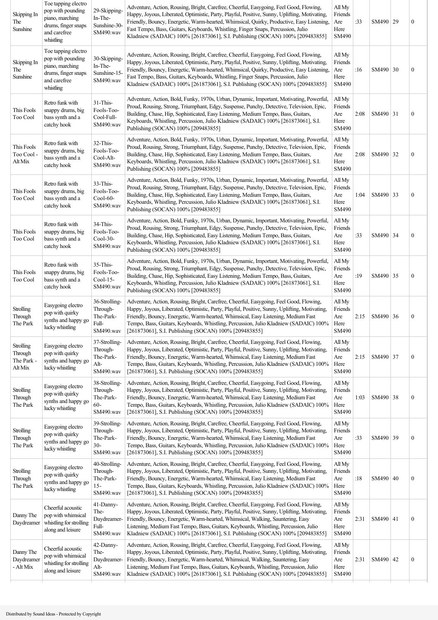| Skipping In<br>The<br>Sunshine                       | Toe tapping electro<br>pop with pounding<br>piano, marching<br>drums, finger snaps<br>and carefree<br>whistling | 29-Skipping-<br>In-The-<br>Sunshine-30-<br>SM490.wav          | Adventure, Action, Rousing, Bright, Carefree, Cheerful, Easygoing, Feel Good, Flowing,<br>Happy, Joyous, Liberated, Optimistic, Party, Playful, Positive, Sunny, Uplifting, Motivating,<br>Friendly, Bouncy, Energetic, Warm-hearted, Whimsical, Quirky, Productive, Easy Listening,<br>Fast Tempo, Bass, Guitars, Keyboards, Whistling, Finger Snaps, Percussion, Julio<br>Kladniew (SADAIC) 100% [261873061], S.I. Publishing (SOCAN) 100% [209483855] | All My<br>Friends<br>Are<br>Here<br>SM490 | :33  | SM490 29   |    | $\boldsymbol{0}$ |
|------------------------------------------------------|-----------------------------------------------------------------------------------------------------------------|---------------------------------------------------------------|----------------------------------------------------------------------------------------------------------------------------------------------------------------------------------------------------------------------------------------------------------------------------------------------------------------------------------------------------------------------------------------------------------------------------------------------------------|-------------------------------------------|------|------------|----|------------------|
| Skipping In<br>The<br>Sunshine                       | Toe tapping electro<br>pop with pounding<br>piano, marching<br>drums, finger snaps<br>and carefree<br>whistling | 30-Skipping-<br>In-The-<br>Sunshine-15-<br>SM490.wav          | Adventure, Action, Rousing, Bright, Carefree, Cheerful, Easygoing, Feel Good, Flowing,<br>Happy, Joyous, Liberated, Optimistic, Party, Playful, Positive, Sunny, Uplifting, Motivating,<br>Friendly, Bouncy, Energetic, Warm-hearted, Whimsical, Quirky, Productive, Easy Listening,<br>Fast Tempo, Bass, Guitars, Keyboards, Whistling, Finger Snaps, Percussion, Julio<br>Kladniew (SADAIC) 100% [261873061], S.I. Publishing (SOCAN) 100% [209483855] | All My<br>Friends<br>Are<br>Here<br>SM490 | :16  | SM490 30   |    | $\boldsymbol{0}$ |
| This Fools<br>Too Cool                               | Retro funk with<br>snappy drums, big<br>bass synth and a<br>catchy hook                                         | 31-This-<br>Fools-Too-<br>Cool-Full-<br>SM490.wav             | Adventure, Action, Bold, Funky, 1970s, Urban, Dynamic, Important, Motivating, Powerful,<br>Proud, Rousing, Strong, Triumphant, Edgy, Suspense, Punchy, Detective, Television, Epic,<br>Building, Chase, Hip, Sophisticated, Easy Listening, Medium Tempo, Bass, Guitars,<br>Keyboards, Whistling, Percussion, Julio Kladniew (SADAIC) 100% [261873061], S.I.<br>Publishing (SOCAN) 100% [209483855]                                                      | All My<br>Friends<br>Are<br>Here<br>SM490 | 2:08 | SM490 31   |    | $\boldsymbol{0}$ |
| This Fools<br>Too Cool -<br>Alt Mix                  | Retro funk with<br>snappy drums, big<br>bass synth and a<br>catchy hook                                         | 32-This-<br>Fools-Too-<br>Cool-Alt-<br>SM490.wav              | Adventure, Action, Bold, Funky, 1970s, Urban, Dynamic, Important, Motivating, Powerful,<br>Proud, Rousing, Strong, Triumphant, Edgy, Suspense, Punchy, Detective, Television, Epic,<br>Building, Chase, Hip, Sophisticated, Easy Listening, Medium Tempo, Bass, Guitars,<br>Keyboards, Whistling, Percussion, Julio Kladniew (SADAIC) 100% [261873061], S.I.<br>Publishing (SOCAN) 100% [209483855]                                                      | All My<br>Friends<br>Are<br>Here<br>SM490 | 2:08 | SM490 32   |    | $\boldsymbol{0}$ |
| This Fools<br>Too Cool                               | Retro funk with<br>snappy drums, big<br>bass synth and a<br>catchy hook                                         | 33-This-<br>Fools-Too-<br>$Cool-60-$<br>SM490.wav             | Adventure, Action, Bold, Funky, 1970s, Urban, Dynamic, Important, Motivating, Powerful,<br>Proud, Rousing, Strong, Triumphant, Edgy, Suspense, Punchy, Detective, Television, Epic,<br>Building, Chase, Hip, Sophisticated, Easy Listening, Medium Tempo, Bass, Guitars,<br>Keyboards, Whistling, Percussion, Julio Kladniew (SADAIC) 100% [261873061], S.I.<br>Publishing (SOCAN) 100% [209483855]                                                      | All My<br>Friends<br>Are<br>Here<br>SM490 | 1:04 | SM490   33 |    | $\boldsymbol{0}$ |
| This Fools<br>Too Cool                               | Retro funk with<br>snappy drums, big<br>bass synth and a<br>catchy hook                                         | 34-This-<br>Fools-Too-<br>$Cool-30-$<br>SM490.wav             | Adventure, Action, Bold, Funky, 1970s, Urban, Dynamic, Important, Motivating, Powerful,<br>Proud, Rousing, Strong, Triumphant, Edgy, Suspense, Punchy, Detective, Television, Epic,<br>Building, Chase, Hip, Sophisticated, Easy Listening, Medium Tempo, Bass, Guitars,<br>Keyboards, Whistling, Percussion, Julio Kladniew (SADAIC) 100% [261873061], S.I.<br>Publishing (SOCAN) 100% [209483855]                                                      | All My<br>Friends<br>Are<br>Here<br>SM490 | :33  | SM490 34   |    | $\boldsymbol{0}$ |
| This Fools<br>Too Cool                               | Retro funk with<br>snappy drums, big<br>bass synth and a<br>catchy hook                                         | 35-This-<br>Fools-Too-<br>$Cool-15-$<br>SM490.wav             | Adventure, Action, Bold, Funky, 1970s, Urban, Dynamic, Important, Motivating, Powerful,<br>Proud, Rousing, Strong, Triumphant, Edgy, Suspense, Punchy, Detective, Television, Epic,<br>Building, Chase, Hip, Sophisticated, Easy Listening, Medium Tempo, Bass, Guitars,<br>Keyboards, Whistling, Percussion, Julio Kladniew (SADAIC) 100% [261873061], S.I.<br>Publishing (SOCAN) 100% [209483855]                                                      | All My<br>Friends<br>Are<br>Here<br>SM490 | :19  | SM490 35   |    | $\boldsymbol{0}$ |
| <b>Strolling</b><br>Through<br>The Park              | Easygoing electro<br>pop with quirky<br>synths and happy go<br>lucky whistling                                  | 36-Strolling-<br>Through-<br>The-Park-<br>Full-<br>SM490.wav  | Adventure, Action, Rousing, Bright, Carefree, Cheerful, Easygoing, Feel Good, Flowing,<br>Happy, Joyous, Liberated, Optimistic, Party, Playful, Positive, Sunny, Uplifting, Motivating,<br>Friendly, Bouncy, Energetic, Warm-hearted, Whimsical, Easy Listening, Medium Fast<br>Tempo, Bass, Guitars, Keyboards, Whistling, Percussion, Julio Kladniew (SADAIC) 100%<br>[261873061], S.I. Publishing (SOCAN) 100% [209483855]                            | All My<br>Friends<br>Are<br>Here<br>SM490 | 2:15 | SM490 36   |    | $\boldsymbol{0}$ |
| <b>Strolling</b><br>Through<br>The Park -<br>Alt Mix | Easygoing electro<br>pop with quirky<br>synths and happy go<br>lucky whistling                                  | 37-Strolling-<br>Through-<br>The-Park-<br>Alt-<br>SM490.wav   | Adventure, Action, Rousing, Bright, Carefree, Cheerful, Easygoing, Feel Good, Flowing,<br>Happy, Joyous, Liberated, Optimistic, Party, Playful, Positive, Sunny, Uplifting, Motivating,<br>Friendly, Bouncy, Energetic, Warm-hearted, Whimsical, Easy Listening, Medium Fast<br>Tempo, Bass, Guitars, Keyboards, Whistling, Percussion, Julio Kladniew (SADAIC) 100%<br>[261873061], S.I. Publishing (SOCAN) 100% [209483855]                            | All My<br>Friends<br>Are<br>Here<br>SM490 | 2:15 | SM490 37   |    | $\boldsymbol{0}$ |
| <b>Strolling</b><br>Through<br>The Park              | Easygoing electro<br>pop with quirky<br>synths and happy go<br>lucky whistling                                  | 38-Strolling-<br>Through-<br>The-Park-<br>$60 -$<br>SM490.wav | Adventure, Action, Rousing, Bright, Carefree, Cheerful, Easygoing, Feel Good, Flowing,<br>Happy, Joyous, Liberated, Optimistic, Party, Playful, Positive, Sunny, Uplifting, Motivating,<br>Friendly, Bouncy, Energetic, Warm-hearted, Whimsical, Easy Listening, Medium Fast<br>Tempo, Bass, Guitars, Keyboards, Whistling, Percussion, Julio Kladniew (SADAIC) 100%<br>[261873061], S.I. Publishing (SOCAN) 100% [209483855]                            | All My<br>Friends<br>Are<br>Here<br>SM490 | 1:03 | SM490      | 38 | $\boldsymbol{0}$ |
| <b>Strolling</b><br>Through<br>The Park              | Easygoing electro<br>pop with quirky<br>synths and happy go<br>lucky whistling                                  | 39-Strolling-<br>Through-<br>The-Park-<br>$30 -$<br>SM490.wav | Adventure, Action, Rousing, Bright, Carefree, Cheerful, Easygoing, Feel Good, Flowing,<br>Happy, Joyous, Liberated, Optimistic, Party, Playful, Positive, Sunny, Uplifting, Motivating,<br>Friendly, Bouncy, Energetic, Warm-hearted, Whimsical, Easy Listening, Medium Fast<br>Tempo, Bass, Guitars, Keyboards, Whistling, Percussion, Julio Kladniew (SADAIC) 100%<br>[261873061], S.I. Publishing (SOCAN) 100% [209483855]                            | All My<br>Friends<br>Are<br>Here<br>SM490 | :33  | SM490 39   |    | $\boldsymbol{0}$ |
| Strolling<br>Through<br>The Park                     | Easygoing electro<br>pop with quirky<br>synths and happy go<br>lucky whistling                                  | 40-Strolling-<br>Through-<br>The-Park-<br>$15 -$<br>SM490.wav | Adventure, Action, Rousing, Bright, Carefree, Cheerful, Easygoing, Feel Good, Flowing,<br>Happy, Joyous, Liberated, Optimistic, Party, Playful, Positive, Sunny, Uplifting, Motivating,<br>Friendly, Bouncy, Energetic, Warm-hearted, Whimsical, Easy Listening, Medium Fast<br>Tempo, Bass, Guitars, Keyboards, Whistling, Percussion, Julio Kladniew (SADAIC) 100%<br>[261873061], S.I. Publishing (SOCAN) 100% [209483855]                            | All My<br>Friends<br>Are<br>Here<br>SM490 | :18  | SM490 40   |    | $\boldsymbol{0}$ |
| Danny The<br>Daydreamer                              | Cheerful acoustic<br>pop with whimsical<br>whistling for strolling<br>along and leisure                         | 41-Danny-<br>The-<br>Daydreamer-<br>Full-<br>SM490.wav        | Adventure, Action, Rousing, Bright, Carefree, Cheerful, Easygoing, Feel Good, Flowing,<br>Happy, Joyous, Liberated, Optimistic, Party, Playful, Positive, Sunny, Uplifting, Motivating,<br>Friendly, Bouncy, Energetic, Warm-hearted, Whimsical, Walking, Sauntering, Easy<br>Listening, Medium Fast Tempo, Bass, Guitars, Keyboards, Whistling, Percussion, Julio<br>Kladniew (SADAIC) 100% [261873061], S.I. Publishing (SOCAN) 100% [209483855]       | All My<br>Friends<br>Are<br>Here<br>SM490 | 2:31 | SM490   41 |    | $\boldsymbol{0}$ |
| Danny The<br>Daydreamer<br>- Alt Mix                 | Cheerful acoustic<br>pop with whimsical<br>whistling for strolling<br>along and leisure                         | 42-Danny-<br>The-<br>Daydreamer-<br>Alt-<br>SM490.wav         | Adventure, Action, Rousing, Bright, Carefree, Cheerful, Easygoing, Feel Good, Flowing,<br>Happy, Joyous, Liberated, Optimistic, Party, Playful, Positive, Sunny, Uplifting, Motivating,<br>Friendly, Bouncy, Energetic, Warm-hearted, Whimsical, Walking, Sauntering, Easy<br>Listening, Medium Fast Tempo, Bass, Guitars, Keyboards, Whistling, Percussion, Julio<br>Kladniew (SADAIC) 100% [261873061], S.I. Publishing (SOCAN) 100% [209483855]       | All My<br>Friends<br>Are<br>Here<br>SM490 | 2:31 | SM490   42 |    | $\boldsymbol{0}$ |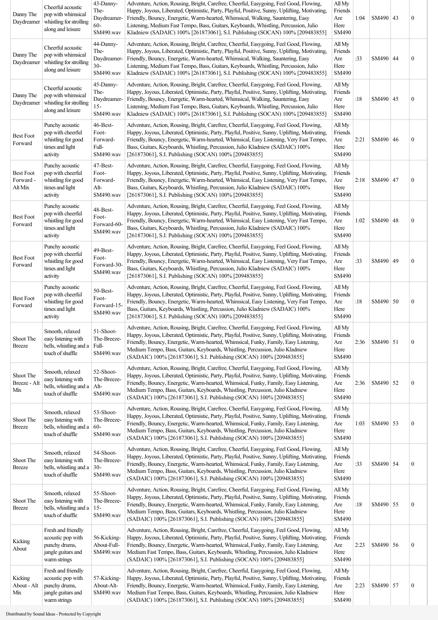| Danny The<br>Daydreamer                  | Cheerful acoustic<br>pop with whimsical<br>whistling for strolling<br>along and leisure        | 43-Danny-<br>The-<br>Daydreamer-<br>$60 -$<br>SM490.wav | Adventure, Action, Rousing, Bright, Carefree, Cheerful, Easygoing, Feel Good, Flowing,<br>Happy, Joyous, Liberated, Optimistic, Party, Playful, Positive, Sunny, Uplifting, Motivating,<br>Friendly, Bouncy, Energetic, Warm-hearted, Whimsical, Walking, Sauntering, Easy<br>Listening, Medium Fast Tempo, Bass, Guitars, Keyboards, Whistling, Percussion, Julio<br>Kladniew (SADAIC) 100% [261873061], S.I. Publishing (SOCAN) 100% [209483855] | All My<br>Friends<br>Are<br>Here<br>SM490        | 1:04 | SM490   43 | $\boldsymbol{0}$ |
|------------------------------------------|------------------------------------------------------------------------------------------------|---------------------------------------------------------|----------------------------------------------------------------------------------------------------------------------------------------------------------------------------------------------------------------------------------------------------------------------------------------------------------------------------------------------------------------------------------------------------------------------------------------------------|--------------------------------------------------|------|------------|------------------|
| Danny The<br>Daydreamer                  | Cheerful acoustic<br>pop with whimsical<br>whistling for strolling<br>along and leisure        | 44-Danny-<br>The-<br>Daydreamer-<br>$30 -$<br>SM490.wav | Adventure, Action, Rousing, Bright, Carefree, Cheerful, Easygoing, Feel Good, Flowing,<br>Happy, Joyous, Liberated, Optimistic, Party, Playful, Positive, Sunny, Uplifting, Motivating,<br>Friendly, Bouncy, Energetic, Warm-hearted, Whimsical, Walking, Sauntering, Easy<br>Listening, Medium Fast Tempo, Bass, Guitars, Keyboards, Whistling, Percussion, Julio<br>Kladniew (SADAIC) 100% [261873061], S.I. Publishing (SOCAN) 100% [209483855] | All My<br>Friends<br>Are<br>Here<br>SM490        | :33  | SM490   44 | $\boldsymbol{0}$ |
| Danny The<br>Daydreamer                  | Cheerful acoustic<br>pop with whimsical<br>whistling for strolling<br>along and leisure        | 45-Danny-<br>The-<br>Daydreamer-<br>$15 -$<br>SM490.wav | Adventure, Action, Rousing, Bright, Carefree, Cheerful, Easygoing, Feel Good, Flowing,<br>Happy, Joyous, Liberated, Optimistic, Party, Playful, Positive, Sunny, Uplifting, Motivating,<br>Friendly, Bouncy, Energetic, Warm-hearted, Whimsical, Walking, Sauntering, Easy<br>Listening, Medium Fast Tempo, Bass, Guitars, Keyboards, Whistling, Percussion, Julio<br>Kladniew (SADAIC) 100% [261873061], S.I. Publishing (SOCAN) 100% [209483855] | All My<br>Friends<br>Are<br>Here<br>SM490        | :18  | SM490   45 | $\boldsymbol{0}$ |
| <b>Best Foot</b><br>Forward              | Punchy acoustic<br>pop with cheerful<br>whistling for good<br>times and light<br>activity      | 46-Best-<br>Foot-<br>Forward-<br>Full-<br>SM490.wav     | Adventure, Action, Rousing, Bright, Carefree, Cheerful, Easygoing, Feel Good, Flowing,<br>Happy, Joyous, Liberated, Optimistic, Party, Playful, Positive, Sunny, Uplifting, Motivating,<br>Friendly, Bouncy, Energetic, Warm-hearted, Whimsical, Easy Listening, Very Fast Tempo,<br>Bass, Guitars, Keyboards, Whistling, Percussion, Julio Kladniew (SADAIC) 100%<br>[261873061], S.I. Publishing (SOCAN) 100% [209483855]                        | All My<br>Friends<br>Are<br>Here<br><b>SM490</b> | 2:21 | SM490   46 | $\boldsymbol{0}$ |
| <b>Best Foot</b><br>Forward -<br>Alt Mix | Punchy acoustic<br>pop with cheerful<br>whistling for good<br>times and light<br>activity      | 47-Best-<br>Foot-<br>Forward-<br>Alt-<br>SM490.wav      | Adventure, Action, Rousing, Bright, Carefree, Cheerful, Easygoing, Feel Good, Flowing,<br>Happy, Joyous, Liberated, Optimistic, Party, Playful, Positive, Sunny, Uplifting, Motivating,<br>Friendly, Bouncy, Energetic, Warm-hearted, Whimsical, Easy Listening, Very Fast Tempo,<br>Bass, Guitars, Keyboards, Whistling, Percussion, Julio Kladniew (SADAIC) 100%<br>[261873061], S.I. Publishing (SOCAN) 100% [209483855]                        | All My<br>Friends<br>Are<br>Here<br>SM490        | 2:18 | SM490   47 | $\boldsymbol{0}$ |
| <b>Best Foot</b><br>Forward              | Punchy acoustic<br>pop with cheerful<br>whistling for good<br>times and light<br>activity      | 48-Best-<br>Foot-<br>Forward-60-<br>SM490.wav           | Adventure, Action, Rousing, Bright, Carefree, Cheerful, Easygoing, Feel Good, Flowing,<br>Happy, Joyous, Liberated, Optimistic, Party, Playful, Positive, Sunny, Uplifting, Motivating,<br>Friendly, Bouncy, Energetic, Warm-hearted, Whimsical, Easy Listening, Very Fast Tempo,<br>Bass, Guitars, Keyboards, Whistling, Percussion, Julio Kladniew (SADAIC) 100%<br>[261873061], S.I. Publishing (SOCAN) 100% [209483855]                        | All My<br>Friends<br>Are<br>Here<br>SM490        | 1:02 | SM490 48   | $\boldsymbol{0}$ |
| <b>Best Foot</b><br>Forward              | Punchy acoustic<br>pop with cheerful<br>whistling for good<br>times and light<br>activity      | 49-Best-<br>Foot-<br>Forward-30<br>SM490.wav            | Adventure, Action, Rousing, Bright, Carefree, Cheerful, Easygoing, Feel Good, Flowing,<br>Happy, Joyous, Liberated, Optimistic, Party, Playful, Positive, Sunny, Uplifting, Motivating,<br>Friendly, Bouncy, Energetic, Warm-hearted, Whimsical, Easy Listening, Very Fast Tempo,<br>Bass, Guitars, Keyboards, Whistling, Percussion, Julio Kladniew (SADAIC) 100%<br>[261873061], S.I. Publishing (SOCAN) 100% [209483855]                        | All My<br>Friends<br>Are<br>Here<br>SM490        | :33  | SM490   49 | $\boldsymbol{0}$ |
| <b>Best Foot</b><br>Forward              | Punchy acoustic<br>pop with cheerful<br>whistling for good<br>times and light<br>activity      | 50-Best-<br>Foot-<br>Forward-15-<br>SM490.wav           | Adventure, Action, Rousing, Bright, Carefree, Cheerful, Easygoing, Feel Good, Flowing,<br>Happy, Joyous, Liberated, Optimistic, Party, Playful, Positive, Sunny, Uplifting, Motivating,<br>Friendly, Bouncy, Energetic, Warm-hearted, Whimsical, Easy Listening, Very Fast Tempo,<br>Bass, Guitars, Keyboards, Whistling, Percussion, Julio Kladniew (SADAIC) 100%<br>[261873061], S.I. Publishing (SOCAN) 100% [209483855]                        | All My<br>Friends<br>Are<br>Here<br>SM490        | :18  | SM490 50   | $\boldsymbol{0}$ |
| Shoot The<br><b>Breeze</b>               | Smooth, relaxed<br>easy listening with<br>bells, whistling and a<br>touch of shuffle           | 51-Shoot-<br>The-Breeze-<br>Full-<br>SM490.wav          | Adventure, Action, Rousing, Bright, Carefree, Cheerful, Easygoing, Feel Good, Flowing,<br>Happy, Joyous, Liberated, Optimistic, Party, Playful, Positive, Sunny, Uplifting, Motivating,<br>Friendly, Bouncy, Energetic, Warm-hearted, Whimsical, Funky, Family, Easy Listening,<br>Medium Tempo, Bass, Guitars, Keyboards, Whistling, Percussion, Julio Kladniew<br>(SADAIC) 100% [261873061], S.I. Publishing (SOCAN) 100% [209483855]            | All My<br>Friends<br>Are<br>Here<br>SM490        | 2:36 | SM490 51   | $\boldsymbol{0}$ |
| Shoot The<br>Breeze - Alt<br>Mix         | Smooth, relaxed<br>easy listening with<br>bells, whistling and a<br>touch of shuffle           | 52-Shoot-<br>The-Breeze-<br>Alt-<br>SM490.wav           | Adventure, Action, Rousing, Bright, Carefree, Cheerful, Easygoing, Feel Good, Flowing,<br>Happy, Joyous, Liberated, Optimistic, Party, Playful, Positive, Sunny, Uplifting, Motivating,<br>Friendly, Bouncy, Energetic, Warm-hearted, Whimsical, Funky, Family, Easy Listening,<br>Medium Tempo, Bass, Guitars, Keyboards, Whistling, Percussion, Julio Kladniew<br>(SADAIC) 100% [261873061], S.I. Publishing (SOCAN) 100% [209483855]            | All My<br>Friends<br>Are<br>Here<br>SM490        | 2:36 | SM490 52   | $\boldsymbol{0}$ |
| Shoot The<br><b>Breeze</b>               | Smooth, relaxed<br>easy listening with<br>bells, whistling and a<br>touch of shuffle           | 53-Shoot-<br>The-Breeze-<br>$60 -$<br>SM490.wav         | Adventure, Action, Rousing, Bright, Carefree, Cheerful, Easygoing, Feel Good, Flowing,<br>Happy, Joyous, Liberated, Optimistic, Party, Playful, Positive, Sunny, Uplifting, Motivating,<br>Friendly, Bouncy, Energetic, Warm-hearted, Whimsical, Funky, Family, Easy Listening,<br>Medium Tempo, Bass, Guitars, Keyboards, Whistling, Percussion, Julio Kladniew<br>(SADAIC) 100% [261873061], S.I. Publishing (SOCAN) 100% [209483855]            | All My<br>Friends<br>Are<br>Here<br>SM490        | 1:03 | SM490   53 | $\boldsymbol{0}$ |
| Shoot The<br><b>Breeze</b>               | Smooth, relaxed<br>easy listening with<br>bells, whistling and a<br>touch of shuffle           | 54-Shoot-<br>The-Breeze-<br>$30 -$<br>SM490.wav         | Adventure, Action, Rousing, Bright, Carefree, Cheerful, Easygoing, Feel Good, Flowing,<br>Happy, Joyous, Liberated, Optimistic, Party, Playful, Positive, Sunny, Uplifting, Motivating,<br>Friendly, Bouncy, Energetic, Warm-hearted, Whimsical, Funky, Family, Easy Listening,<br>Medium Tempo, Bass, Guitars, Keyboards, Whistling, Percussion, Julio Kladniew<br>(SADAIC) 100% [261873061], S.I. Publishing (SOCAN) 100% [209483855]            | All My<br>Friends<br>Are<br>Here<br>SM490        | :33  | SM490   54 | $\boldsymbol{0}$ |
| Shoot The<br><b>Breeze</b>               | Smooth, relaxed<br>easy listening with<br>bells, whistling and a<br>touch of shuffle           | 55-Shoot-<br>The-Breeze-<br>$15-$<br>SM490.wav          | Adventure, Action, Rousing, Bright, Carefree, Cheerful, Easygoing, Feel Good, Flowing,<br>Happy, Joyous, Liberated, Optimistic, Party, Playful, Positive, Sunny, Uplifting, Motivating,<br>Friendly, Bouncy, Energetic, Warm-hearted, Whimsical, Funky, Family, Easy Listening,<br>Medium Tempo, Bass, Guitars, Keyboards, Whistling, Percussion, Julio Kladniew<br>(SADAIC) 100% [261873061], S.I. Publishing (SOCAN) 100% [209483855]            | All My<br>Friends<br>Are<br>Here<br>SM490        | :18  | SM490 55   | $\boldsymbol{0}$ |
| Kicking<br>About                         | Fresh and friendly<br>acoustic pop with<br>punchy drums,<br>jangle guitars and<br>warm strings | 56-Kicking-<br>About-Full-<br>SM490.wav                 | Adventure, Action, Rousing, Bright, Carefree, Cheerful, Easygoing, Feel Good, Flowing,<br>Happy, Joyous, Liberated, Optimistic, Party, Playful, Positive, Sunny, Uplifting, Motivating,<br>Friendly, Bouncy, Energetic, Warm-hearted, Whimsical, Funky, Family, Easy Listening,<br>Medium Fast Tempo, Bass, Guitars, Keyboards, Whistling, Percussion, Julio Kladniew<br>(SADAIC) 100% [261873061], S.I. Publishing (SOCAN) 100% [209483855]       | All My<br>Friends<br>Are<br>Here<br>SM490        | 2:23 | SM490 56   | $\boldsymbol{0}$ |
| Kicking<br>About - Alt<br>Mix            | Fresh and friendly<br>acoustic pop with<br>punchy drums,<br>jangle guitars and<br>warm strings | 57-Kicking-<br>About-Alt-<br>SM490.wav                  | Adventure, Action, Rousing, Bright, Carefree, Cheerful, Easygoing, Feel Good, Flowing,<br>Happy, Joyous, Liberated, Optimistic, Party, Playful, Positive, Sunny, Uplifting, Motivating,<br>Friendly, Bouncy, Energetic, Warm-hearted, Whimsical, Funky, Family, Easy Listening,<br>Medium Fast Tempo, Bass, Guitars, Keyboards, Whistling, Percussion, Julio Kladniew<br>(SADAIC) 100% [261873061], S.I. Publishing (SOCAN) 100% [209483855]       | All My<br>Friends<br>Are<br>Here<br>SM490        | 2:23 | SM490 57   | $\boldsymbol{0}$ |

Distributed by Sound Ideas - Protected by Copyright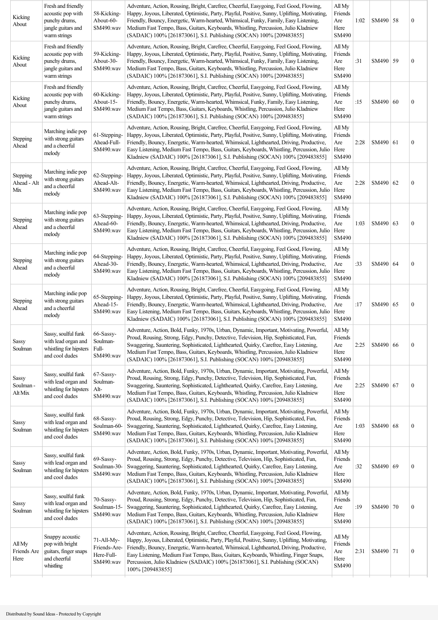| Kicking<br>About                     | Fresh and friendly<br>acoustic pop with<br>punchy drums,<br>jangle guitars and<br>warm strings | 58-Kicking-<br>About-60-<br>SM490.wav                 | Adventure, Action, Rousing, Bright, Carefree, Cheerful, Easygoing, Feel Good, Flowing,<br>Happy, Joyous, Liberated, Optimistic, Party, Playful, Positive, Sunny, Uplifting, Motivating,<br>Friendly, Bouncy, Energetic, Warm-hearted, Whimsical, Funky, Family, Easy Listening,<br>Medium Fast Tempo, Bass, Guitars, Keyboards, Whistling, Percussion, Julio Kladniew<br>(SADAIC) 100% [261873061], S.I. Publishing (SOCAN) 100% [209483855]                                      | All My<br>Friends<br>Are<br>Here<br>SM490 | 1:02 | SM490 58   | $\boldsymbol{0}$ |
|--------------------------------------|------------------------------------------------------------------------------------------------|-------------------------------------------------------|-----------------------------------------------------------------------------------------------------------------------------------------------------------------------------------------------------------------------------------------------------------------------------------------------------------------------------------------------------------------------------------------------------------------------------------------------------------------------------------|-------------------------------------------|------|------------|------------------|
| Kicking<br>About                     | Fresh and friendly<br>acoustic pop with<br>punchy drums,<br>jangle guitars and<br>warm strings | 59-Kicking-<br>About-30-<br>SM490.wav                 | Adventure, Action, Rousing, Bright, Carefree, Cheerful, Easygoing, Feel Good, Flowing,<br>Happy, Joyous, Liberated, Optimistic, Party, Playful, Positive, Sunny, Uplifting, Motivating,<br>Friendly, Bouncy, Energetic, Warm-hearted, Whimsical, Funky, Family, Easy Listening,<br>Medium Fast Tempo, Bass, Guitars, Keyboards, Whistling, Percussion, Julio Kladniew<br>(SADAIC) 100% [261873061], S.I. Publishing (SOCAN) 100% [209483855]                                      | All My<br>Friends<br>Are<br>Here<br>SM490 | :31  | SM490 59   | $\boldsymbol{0}$ |
| Kicking<br>About                     | Fresh and friendly<br>acoustic pop with<br>punchy drums,<br>jangle guitars and<br>warm strings | 60-Kicking-<br>About-15-<br>SM490.wav                 | Adventure, Action, Rousing, Bright, Carefree, Cheerful, Easygoing, Feel Good, Flowing,<br>Happy, Joyous, Liberated, Optimistic, Party, Playful, Positive, Sunny, Uplifting, Motivating,<br>Friendly, Bouncy, Energetic, Warm-hearted, Whimsical, Funky, Family, Easy Listening,<br>Medium Fast Tempo, Bass, Guitars, Keyboards, Whistling, Percussion, Julio Kladniew<br>(SADAIC) 100% [261873061], S.I. Publishing (SOCAN) 100% [209483855]                                      | All My<br>Friends<br>Are<br>Here<br>SM490 | :15  | SM490 60   | $\boldsymbol{0}$ |
| Stepping<br>Ahead                    | Marching indie pop<br>with strong guitars<br>and a cheerful<br>melody                          | 61-Stepping-<br>Ahead-Full-<br>SM490.wav              | Adventure, Action, Rousing, Bright, Carefree, Cheerful, Easygoing, Feel Good, Flowing,<br>Happy, Joyous, Liberated, Optimistic, Party, Playful, Positive, Sunny, Uplifting, Motivating,<br>Friendly, Bouncy, Energetic, Warm-hearted, Whimsical, Lighthearted, Driving, Productive,<br>Easy Listening, Medium Fast Tempo, Bass, Guitars, Keyboards, Whistling, Percussion, Julio<br>Kladniew (SADAIC) 100% [261873061], S.I. Publishing (SOCAN) 100% [209483855]                  | All My<br>Friends<br>Are<br>Here<br>SM490 | 2:28 | SM490   61 | $\boldsymbol{0}$ |
| Stepping<br>Ahead - Alt<br>Mix       | Marching indie pop<br>with strong guitars<br>and a cheerful<br>melody                          | 62-Stepping-<br>Ahead-Alt-<br>SM490.wav               | Adventure, Action, Rousing, Bright, Carefree, Cheerful, Easygoing, Feel Good, Flowing,<br>Happy, Joyous, Liberated, Optimistic, Party, Playful, Positive, Sunny, Uplifting, Motivating,<br>Friendly, Bouncy, Energetic, Warm-hearted, Whimsical, Lighthearted, Driving, Productive,<br>Easy Listening, Medium Fast Tempo, Bass, Guitars, Keyboards, Whistling, Percussion, Julio<br>Kladniew (SADAIC) 100% [261873061], S.I. Publishing (SOCAN) 100% [209483855]                  | All My<br>Friends<br>Are<br>Here<br>SM490 | 2:28 | SM490 62   | $\boldsymbol{0}$ |
| Stepping<br>Ahead                    | Marching indie pop<br>with strong guitars<br>and a cheerful<br>melody                          | 63-Stepping-<br>Ahead-60-<br>SM490.wav                | Adventure, Action, Rousing, Bright, Carefree, Cheerful, Easygoing, Feel Good, Flowing,<br>Happy, Joyous, Liberated, Optimistic, Party, Playful, Positive, Sunny, Uplifting, Motivating,<br>Friendly, Bouncy, Energetic, Warm-hearted, Whimsical, Lighthearted, Driving, Productive,<br>Easy Listening, Medium Fast Tempo, Bass, Guitars, Keyboards, Whistling, Percussion, Julio<br>Kladniew (SADAIC) 100% [261873061], S.I. Publishing (SOCAN) 100% [209483855]                  | All My<br>Friends<br>Are<br>Here<br>SM490 | 1:03 | SM490 63   | $\boldsymbol{0}$ |
| Stepping<br>Ahead                    | Marching indie pop<br>with strong guitars<br>and a cheerful<br>melody                          | 64-Stepping-<br>Ahead-30-<br>SM490.wav                | Adventure, Action, Rousing, Bright, Carefree, Cheerful, Easygoing, Feel Good, Flowing,<br>Happy, Joyous, Liberated, Optimistic, Party, Playful, Positive, Sunny, Uplifting, Motivating,<br>Friendly, Bouncy, Energetic, Warm-hearted, Whimsical, Lighthearted, Driving, Productive,<br>Easy Listening, Medium Fast Tempo, Bass, Guitars, Keyboards, Whistling, Percussion, Julio<br>Kladniew (SADAIC) 100% [261873061], S.I. Publishing (SOCAN) 100% [209483855]                  | All My<br>Friends<br>Are<br>Here<br>SM490 | :33  | SM490   64 | $\boldsymbol{0}$ |
| Stepping<br>Ahead                    | Marching indie pop<br>with strong guitars<br>and a cheerful<br>melody                          | 65-Stepping-<br>Ahead-15-<br>SM490.wav                | Adventure, Action, Rousing, Bright, Carefree, Cheerful, Easygoing, Feel Good, Flowing,<br>Happy, Joyous, Liberated, Optimistic, Party, Playful, Positive, Sunny, Uplifting, Motivating,<br>Friendly, Bouncy, Energetic, Warm-hearted, Whimsical, Lighthearted, Driving, Productive,<br>Easy Listening, Medium Fast Tempo, Bass, Guitars, Keyboards, Whistling, Percussion, Julio<br>Kladniew (SADAIC) 100% [261873061], S.I. Publishing (SOCAN) 100% [209483855]                  | All My<br>Friends<br>Are<br>Here<br>SM490 | :17  | SM490 65   | $\boldsymbol{0}$ |
| Sassy<br>Soulman                     | Sassy, soulful funk<br>with lead organ and<br>whistling for hipsters<br>and cool dudes         | 66-Sassy-<br>Soulman-<br>Full-<br>SM490.wav           | Adventure, Action, Bold, Funky, 1970s, Urban, Dynamic, Important, Motivating, Powerful,<br>Proud, Rousing, Strong, Edgy, Punchy, Detective, Television, Hip, Sophisticated, Fun,<br>Swaggering, Sauntering, Sophisticated, Lighthearted, Quirky, Carefree, Easy Listening,<br>Medium Fast Tempo, Bass, Guitars, Keyboards, Whistling, Percussion, Julio Kladniew<br>(SADAIC) 100% [261873061], S.I. Publishing (SOCAN) 100% [209483855]                                           | All My<br>Friends<br>Are<br>Here<br>SM490 | 2:25 | SM490 66   | $\boldsymbol{0}$ |
| <b>Sassy</b><br>Soulman -<br>Alt Mix | Sassy, soulful funk<br>with lead organ and<br>whistling for hipsters<br>and cool dudes         | 67-Sassy-<br>Soulman-<br>Alt-<br>SM490.wav            | Adventure, Action, Bold, Funky, 1970s, Urban, Dynamic, Important, Motivating, Powerful,<br>Proud, Rousing, Strong, Edgy, Punchy, Detective, Television, Hip, Sophisticated, Fun,<br>Swaggering, Sauntering, Sophisticated, Lighthearted, Quirky, Carefree, Easy Listening,<br>Medium Fast Tempo, Bass, Guitars, Keyboards, Whistling, Percussion, Julio Kladniew<br>(SADAIC) 100% [261873061], S.I. Publishing (SOCAN) 100% [209483855]                                           | All My<br>Friends<br>Are<br>Here<br>SM490 | 2:25 | SM490 67   | $\boldsymbol{0}$ |
| <b>Sassy</b><br>Soulman              | Sassy, soulful funk<br>with lead organ and<br>whistling for hipsters<br>and cool dudes         | 68-Sassy-<br>Soulman-60-<br>SM490.wav                 | Adventure, Action, Bold, Funky, 1970s, Urban, Dynamic, Important, Motivating, Powerful,<br>Proud, Rousing, Strong, Edgy, Punchy, Detective, Television, Hip, Sophisticated, Fun,<br>Swaggering, Sauntering, Sophisticated, Lighthearted, Quirky, Carefree, Easy Listening,<br>Medium Fast Tempo, Bass, Guitars, Keyboards, Whistling, Percussion, Julio Kladniew<br>(SADAIC) 100% [261873061], S.I. Publishing (SOCAN) 100% [209483855]                                           | All My<br>Friends<br>Are<br>Here<br>SM490 | 1:03 | SM490 68   | $\boldsymbol{0}$ |
| <b>Sassy</b><br>Soulman              | Sassy, soulful funk<br>with lead organ and<br>whistling for hipsters<br>and cool dudes         | 69-Sassy-<br>Soulman-30-<br>SM490.wav                 | Adventure, Action, Bold, Funky, 1970s, Urban, Dynamic, Important, Motivating, Powerful,<br>Proud, Rousing, Strong, Edgy, Punchy, Detective, Television, Hip, Sophisticated, Fun,<br>Swaggering, Sauntering, Sophisticated, Lighthearted, Quirky, Carefree, Easy Listening,<br>Medium Fast Tempo, Bass, Guitars, Keyboards, Whistling, Percussion, Julio Kladniew<br>(SADAIC) 100% [261873061], S.I. Publishing (SOCAN) 100% [209483855]                                           | All My<br>Friends<br>Are<br>Here<br>SM490 | :32  | SM490   69 | $\boldsymbol{0}$ |
| Sassy<br>Soulman                     | Sassy, soulful funk<br>with lead organ and<br>whistling for hipsters<br>and cool dudes         | 70-Sassy-<br>Soulman-15-<br>SM490.wav                 | Adventure, Action, Bold, Funky, 1970s, Urban, Dynamic, Important, Motivating, Powerful,<br>Proud, Rousing, Strong, Edgy, Punchy, Detective, Television, Hip, Sophisticated, Fun,<br>Swaggering, Sauntering, Sophisticated, Lighthearted, Quirky, Carefree, Easy Listening,<br>Medium Fast Tempo, Bass, Guitars, Keyboards, Whistling, Percussion, Julio Kladniew<br>(SADAIC) 100% [261873061], S.I. Publishing (SOCAN) 100% [209483855]                                           | All My<br>Friends<br>Are<br>Here<br>SM490 | :19  | SM490   70 | $\boldsymbol{0}$ |
| All My<br>Friends Are<br>Here        | Snappy acoustic<br>pop with bright<br>guitars, finger snaps<br>and cheerful<br>whistling       | 71-All-My-<br>Friends-Are-<br>Here-Full-<br>SM490.wav | Adventure, Action, Rousing, Bright, Carefree, Cheerful, Easygoing, Feel Good, Flowing,<br>Happy, Joyous, Liberated, Optimistic, Party, Playful, Positive, Sunny, Uplifting, Motivating,<br>Friendly, Bouncy, Energetic, Warm-hearted, Whimsical, Lighthearted, Driving, Productive,<br>Easy Listening, Medium Fast Tempo, Bass, Guitars, Keyboards, Whistling, Finger Snaps,<br>Percussion, Julio Kladniew (SADAIC) 100% [261873061], S.I. Publishing (SOCAN)<br>100% [209483855] | All My<br>Friends<br>Are<br>Here<br>SM490 | 2:31 | SM490   71 | $\boldsymbol{0}$ |
|                                      |                                                                                                |                                                       |                                                                                                                                                                                                                                                                                                                                                                                                                                                                                   |                                           |      |            |                  |